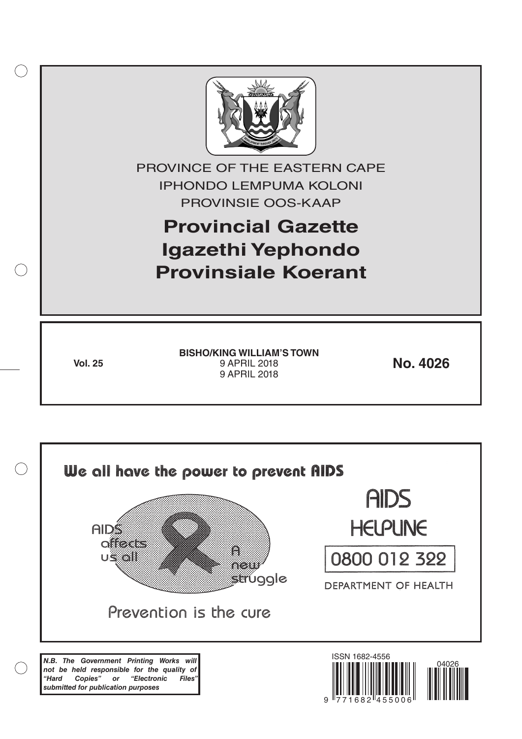

Prevention is the cure

*N.B. The Government Printing Works will not be held responsible for the quality of "Hard Copies" or "Electronic Files" submitted for publication purposes*

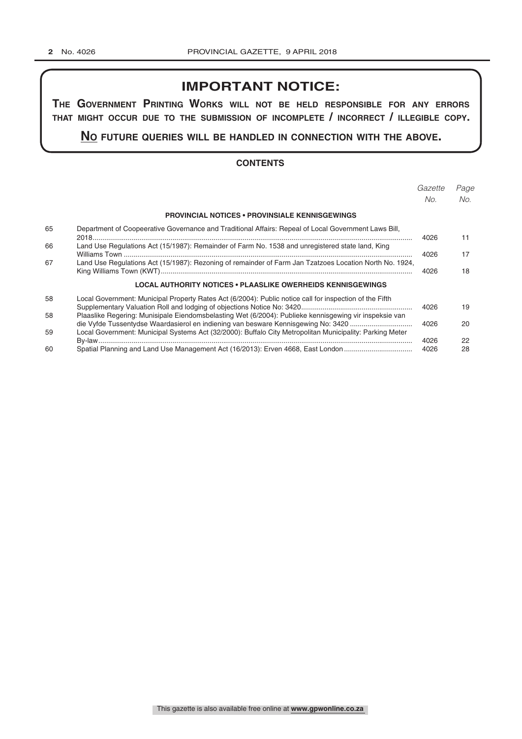# **IMPORTANT NOTICE:**

**The GovernmenT PrinTinG Works Will noT be held resPonsible for any errors ThaT miGhT occur due To The submission of incomPleTe / incorrecT / illeGible coPy.**

**no fuTure queries Will be handled in connecTion WiTh The above.**

### **CONTENTS**

|    |                                                                                                          | Gazette | Page |
|----|----------------------------------------------------------------------------------------------------------|---------|------|
|    |                                                                                                          | No.     | No.  |
|    | <b>PROVINCIAL NOTICES • PROVINSIALE KENNISGEWINGS</b>                                                    |         |      |
| 65 | Department of Coopeerative Governance and Traditional Affairs: Repeal of Local Government Laws Bill,     | 4026    | 11   |
| 66 | Land Use Regulations Act (15/1987): Remainder of Farm No. 1538 and unregistered state land, King         | 4026    | 17   |
| 67 | Land Use Regulations Act (15/1987): Rezoning of remainder of Farm Jan Tzatzoes Location North No. 1924,  | 4026    | 18   |
|    | <b>LOCAL AUTHORITY NOTICES • PLAASLIKE OWERHEIDS KENNISGEWINGS</b>                                       |         |      |
| 58 | Local Government: Municipal Property Rates Act (6/2004): Public notice call for inspection of the Fifth  |         |      |
|    |                                                                                                          | 4026    | 19   |
| 58 | Plaaslike Regering: Munisipale Eiendomsbelasting Wet (6/2004): Publieke kennisgewing vir inspeksie van   |         |      |
|    | die Vyfde Tussentydse Waardasierol en indiening van besware Kennisgewing No: 3420                        | 4026    | 20   |
| 59 | Local Government: Municipal Systems Act (32/2000): Buffalo City Metropolitan Municipality: Parking Meter |         |      |
|    |                                                                                                          | 4026    | 22   |
| 60 | Spatial Planning and Land Use Management Act (16/2013): Erven 4668, East London                          | 4026    | 28   |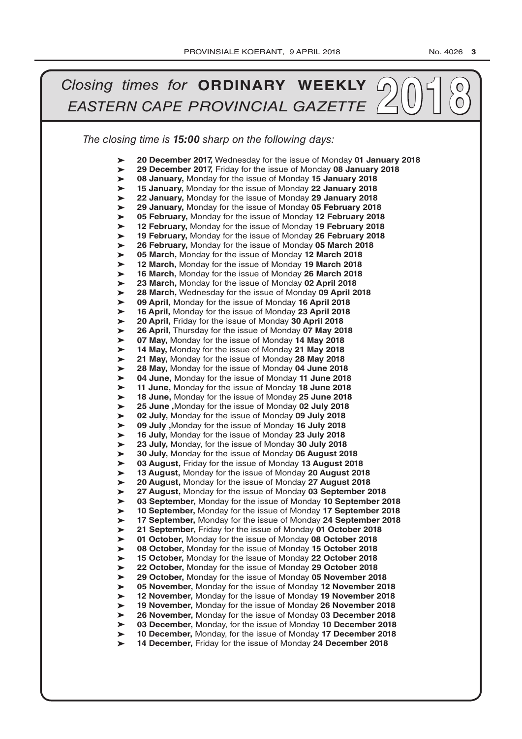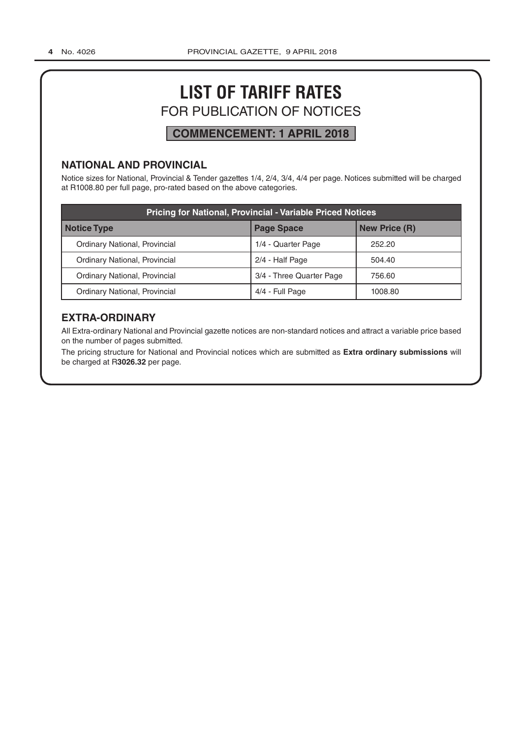# **LIST OF TARIFF RATES** FOR PUBLICATION OF NOTICES

# **COMMENCEMENT: 1 APRIL 2018**

# **NATIONAL AND PROVINCIAL**

Notice sizes for National, Provincial & Tender gazettes 1/4, 2/4, 3/4, 4/4 per page. Notices submitted will be charged at R1008.80 per full page, pro-rated based on the above categories.

| <b>Pricing for National, Provincial - Variable Priced Notices</b> |                          |                      |  |
|-------------------------------------------------------------------|--------------------------|----------------------|--|
| <b>Notice Type</b>                                                | <b>Page Space</b>        | <b>New Price (R)</b> |  |
| Ordinary National, Provincial                                     | 1/4 - Quarter Page       | 252.20               |  |
| Ordinary National, Provincial                                     | 2/4 - Half Page          | 504.40               |  |
| Ordinary National, Provincial                                     | 3/4 - Three Quarter Page | 756.60               |  |
| Ordinary National, Provincial                                     | 4/4 - Full Page          | 1008.80              |  |

# **EXTRA-ORDINARY**

All Extra-ordinary National and Provincial gazette notices are non-standard notices and attract a variable price based on the number of pages submitted.

The pricing structure for National and Provincial notices which are submitted as **Extra ordinary submissions** will be charged at R**3026.32** per page.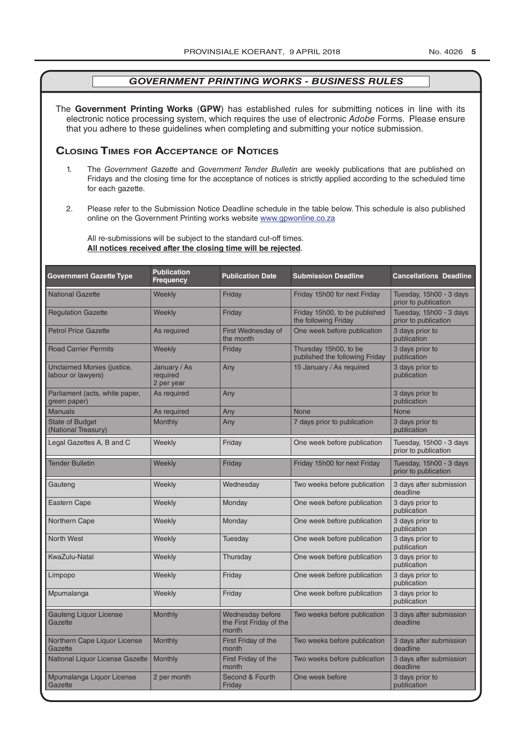The **Government Printing Works** (**GPW**) has established rules for submitting notices in line with its electronic notice processing system, which requires the use of electronic *Adobe* Forms. Please ensure that you adhere to these guidelines when completing and submitting your notice submission.

# **Closing Times for ACCepTAnCe of noTiCes**

- 1. The *Government Gazette* and *Government Tender Bulletin* are weekly publications that are published on Fridays and the closing time for the acceptance of notices is strictly applied according to the scheduled time for each gazette.
- 2. Please refer to the Submission Notice Deadline schedule in the table below. This schedule is also published online on the Government Printing works website www.gpwonline.co.za

All re-submissions will be subject to the standard cut-off times. **All notices received after the closing time will be rejected**.

| <b>Government Gazette Type</b>                   | <b>Publication</b><br><b>Frequency</b> | <b>Publication Date</b>                              | <b>Submission Deadline</b>                              | <b>Cancellations Deadline</b>                   |
|--------------------------------------------------|----------------------------------------|------------------------------------------------------|---------------------------------------------------------|-------------------------------------------------|
| <b>National Gazette</b>                          | Weekly                                 | Friday                                               | Friday 15h00 for next Friday                            | Tuesday, 15h00 - 3 days<br>prior to publication |
| <b>Regulation Gazette</b>                        | Weekly                                 | Friday                                               | Friday 15h00, to be published<br>the following Friday   | Tuesday, 15h00 - 3 days<br>prior to publication |
| <b>Petrol Price Gazette</b>                      | As required                            | First Wednesday of<br>the month                      | One week before publication                             | 3 days prior to<br>publication                  |
| <b>Road Carrier Permits</b>                      | Weekly                                 | Friday                                               | Thursday 15h00, to be<br>published the following Friday | 3 days prior to<br>publication                  |
| Unclaimed Monies (justice,<br>labour or lawyers) | January / As<br>required<br>2 per year | Any                                                  | 15 January / As required                                | 3 days prior to<br>publication                  |
| Parliament (acts, white paper,<br>green paper)   | As required                            | Any                                                  |                                                         | 3 days prior to<br>publication                  |
| <b>Manuals</b>                                   | As required                            | Any                                                  | <b>None</b>                                             | <b>None</b>                                     |
| <b>State of Budget</b><br>(National Treasury)    | Monthly                                | Any                                                  | 7 days prior to publication                             | 3 days prior to<br>publication                  |
| Legal Gazettes A, B and C                        | Weekly                                 | Friday                                               | One week before publication                             | Tuesday, 15h00 - 3 days<br>prior to publication |
| <b>Tender Bulletin</b>                           | Weekly                                 | Friday                                               | Friday 15h00 for next Friday                            | Tuesday, 15h00 - 3 days<br>prior to publication |
| Gauteng                                          | Weekly                                 | Wednesday                                            | Two weeks before publication                            | 3 days after submission<br>deadline             |
| Eastern Cape                                     | Weekly                                 | Monday                                               | One week before publication                             | 3 days prior to<br>publication                  |
| Northern Cape                                    | Weekly                                 | Monday                                               | One week before publication                             | 3 days prior to<br>publication                  |
| <b>North West</b>                                | Weekly                                 | Tuesday                                              | One week before publication                             | 3 days prior to<br>publication                  |
| KwaZulu-Natal                                    | Weekly                                 | Thursday                                             | One week before publication                             | 3 days prior to<br>publication                  |
| Limpopo                                          | Weekly                                 | Friday                                               | One week before publication                             | 3 days prior to<br>publication                  |
| Mpumalanga                                       | Weekly                                 | Friday                                               | One week before publication                             | 3 days prior to<br>publication                  |
| <b>Gauteng Liquor License</b><br>Gazette         | Monthly                                | Wednesday before<br>the First Friday of the<br>month | Two weeks before publication                            | 3 days after submission<br>deadline             |
| Northern Cape Liquor License<br>Gazette          | Monthly                                | First Friday of the<br>month                         | Two weeks before publication                            | 3 days after submission<br>deadline             |
| National Liquor License Gazette                  | Monthly                                | First Friday of the<br>month                         | Two weeks before publication                            | 3 days after submission<br>deadline             |
| Mpumalanga Liquor License<br>Gazette             | 2 per month                            | Second & Fourth<br>Friday                            | One week before                                         | 3 days prior to<br>publication                  |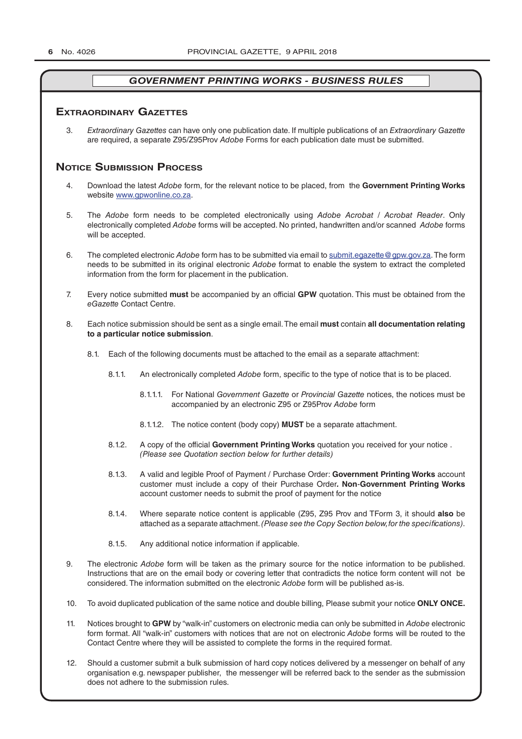# **exTrAordinAry gAzeTTes**

3. *Extraordinary Gazettes* can have only one publication date. If multiple publications of an *Extraordinary Gazette* are required, a separate Z95/Z95Prov *Adobe* Forms for each publication date must be submitted.

# **NOTICE SUBMISSION PROCESS**

- 4. Download the latest *Adobe* form, for the relevant notice to be placed, from the **Government Printing Works** website www.gpwonline.co.za.
- 5. The *Adobe* form needs to be completed electronically using *Adobe Acrobat* / *Acrobat Reader*. Only electronically completed *Adobe* forms will be accepted. No printed, handwritten and/or scanned *Adobe* forms will be accepted.
- 6. The completed electronic *Adobe* form has to be submitted via email to submit.egazette@gpw.gov.za. The form needs to be submitted in its original electronic *Adobe* format to enable the system to extract the completed information from the form for placement in the publication.
- 7. Every notice submitted **must** be accompanied by an official **GPW** quotation. This must be obtained from the *eGazette* Contact Centre.
- 8. Each notice submission should be sent as a single email. The email **must** contain **all documentation relating to a particular notice submission**.
	- 8.1. Each of the following documents must be attached to the email as a separate attachment:
		- 8.1.1. An electronically completed *Adobe* form, specific to the type of notice that is to be placed.
			- 8.1.1.1. For National *Government Gazette* or *Provincial Gazette* notices, the notices must be accompanied by an electronic Z95 or Z95Prov *Adobe* form
			- 8.1.1.2. The notice content (body copy) **MUST** be a separate attachment.
		- 8.1.2. A copy of the official **Government Printing Works** quotation you received for your notice . *(Please see Quotation section below for further details)*
		- 8.1.3. A valid and legible Proof of Payment / Purchase Order: **Government Printing Works** account customer must include a copy of their Purchase Order*.* **Non**-**Government Printing Works** account customer needs to submit the proof of payment for the notice
		- 8.1.4. Where separate notice content is applicable (Z95, Z95 Prov and TForm 3, it should **also** be attached as a separate attachment. *(Please see the Copy Section below, for the specifications)*.
		- 8.1.5. Any additional notice information if applicable.
- 9. The electronic *Adobe* form will be taken as the primary source for the notice information to be published. Instructions that are on the email body or covering letter that contradicts the notice form content will not be considered. The information submitted on the electronic *Adobe* form will be published as-is.
- 10. To avoid duplicated publication of the same notice and double billing, Please submit your notice **ONLY ONCE.**
- 11. Notices brought to **GPW** by "walk-in" customers on electronic media can only be submitted in *Adobe* electronic form format. All "walk-in" customers with notices that are not on electronic *Adobe* forms will be routed to the Contact Centre where they will be assisted to complete the forms in the required format.
- 12. Should a customer submit a bulk submission of hard copy notices delivered by a messenger on behalf of any organisation e.g. newspaper publisher, the messenger will be referred back to the sender as the submission does not adhere to the submission rules.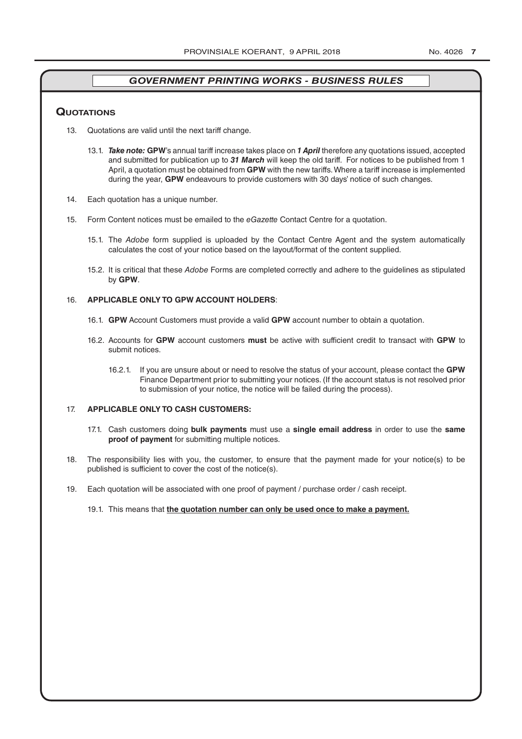### **QuoTATions**

- 13. Quotations are valid until the next tariff change.
	- 13.1. *Take note:* **GPW**'s annual tariff increase takes place on *1 April* therefore any quotations issued, accepted and submitted for publication up to *31 March* will keep the old tariff. For notices to be published from 1 April, a quotation must be obtained from **GPW** with the new tariffs. Where a tariff increase is implemented during the year, **GPW** endeavours to provide customers with 30 days' notice of such changes.
- 14. Each quotation has a unique number.
- 15. Form Content notices must be emailed to the *eGazette* Contact Centre for a quotation.
	- 15.1. The *Adobe* form supplied is uploaded by the Contact Centre Agent and the system automatically calculates the cost of your notice based on the layout/format of the content supplied.
	- 15.2. It is critical that these *Adobe* Forms are completed correctly and adhere to the guidelines as stipulated by **GPW**.

### 16. **APPLICABLE ONLY TO GPW ACCOUNT HOLDERS**:

- 16.1. **GPW** Account Customers must provide a valid **GPW** account number to obtain a quotation.
- 16.2. Accounts for **GPW** account customers **must** be active with sufficient credit to transact with **GPW** to submit notices.
	- 16.2.1. If you are unsure about or need to resolve the status of your account, please contact the **GPW** Finance Department prior to submitting your notices. (If the account status is not resolved prior to submission of your notice, the notice will be failed during the process).

### 17. **APPLICABLE ONLY TO CASH CUSTOMERS:**

- 17.1. Cash customers doing **bulk payments** must use a **single email address** in order to use the **same proof of payment** for submitting multiple notices.
- 18. The responsibility lies with you, the customer, to ensure that the payment made for your notice(s) to be published is sufficient to cover the cost of the notice(s).
- 19. Each quotation will be associated with one proof of payment / purchase order / cash receipt.

#### 19.1. This means that **the quotation number can only be used once to make a payment.**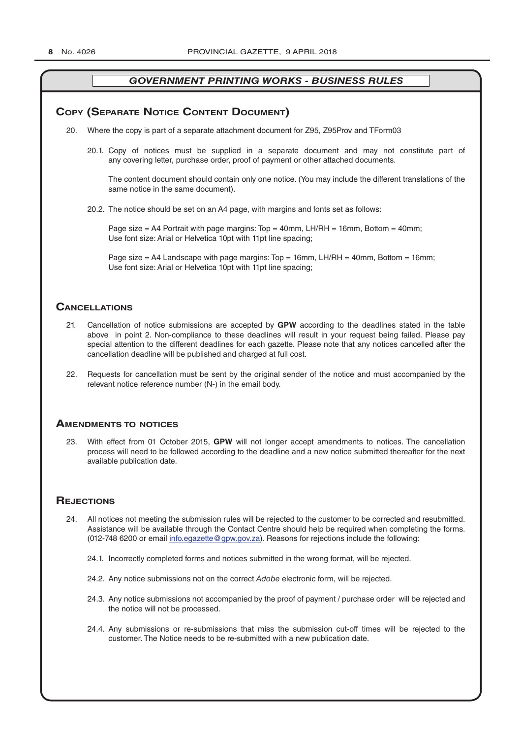# **COPY (SEPARATE NOTICE CONTENT DOCUMENT)**

- 20. Where the copy is part of a separate attachment document for Z95, Z95Prov and TForm03
	- 20.1. Copy of notices must be supplied in a separate document and may not constitute part of any covering letter, purchase order, proof of payment or other attached documents.

The content document should contain only one notice. (You may include the different translations of the same notice in the same document).

20.2. The notice should be set on an A4 page, with margins and fonts set as follows:

Page size  $=$  A4 Portrait with page margins: Top  $=$  40mm, LH/RH  $=$  16mm, Bottom  $=$  40mm; Use font size: Arial or Helvetica 10pt with 11pt line spacing;

Page size  $=$  A4 Landscape with page margins: Top  $=$  16mm, LH/RH  $=$  40mm, Bottom  $=$  16mm; Use font size: Arial or Helvetica 10pt with 11pt line spacing;

# **CAnCellATions**

- 21. Cancellation of notice submissions are accepted by **GPW** according to the deadlines stated in the table above in point 2. Non-compliance to these deadlines will result in your request being failed. Please pay special attention to the different deadlines for each gazette. Please note that any notices cancelled after the cancellation deadline will be published and charged at full cost.
- 22. Requests for cancellation must be sent by the original sender of the notice and must accompanied by the relevant notice reference number (N-) in the email body.

### **AmendmenTs To noTiCes**

23. With effect from 01 October 2015, **GPW** will not longer accept amendments to notices. The cancellation process will need to be followed according to the deadline and a new notice submitted thereafter for the next available publication date.

### **REJECTIONS**

- 24. All notices not meeting the submission rules will be rejected to the customer to be corrected and resubmitted. Assistance will be available through the Contact Centre should help be required when completing the forms. (012-748 6200 or email info.egazette@gpw.gov.za). Reasons for rejections include the following:
	- 24.1. Incorrectly completed forms and notices submitted in the wrong format, will be rejected.
	- 24.2. Any notice submissions not on the correct *Adobe* electronic form, will be rejected.
	- 24.3. Any notice submissions not accompanied by the proof of payment / purchase order will be rejected and the notice will not be processed.
	- 24.4. Any submissions or re-submissions that miss the submission cut-off times will be rejected to the customer. The Notice needs to be re-submitted with a new publication date.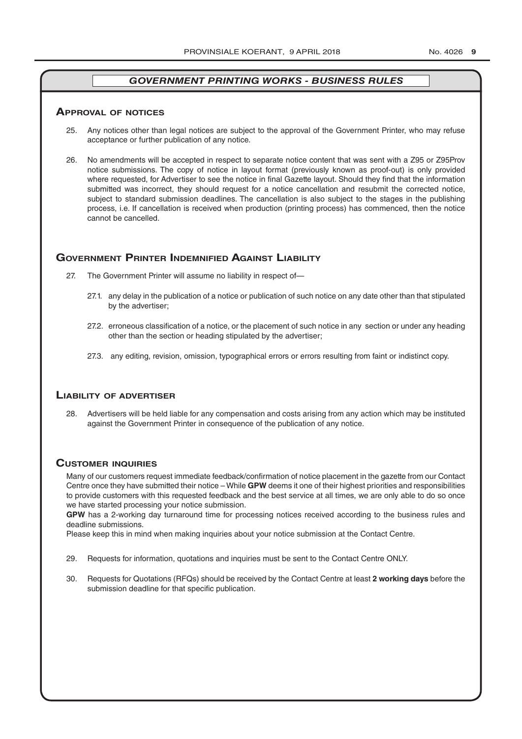### **ApprovAl of noTiCes**

- 25. Any notices other than legal notices are subject to the approval of the Government Printer, who may refuse acceptance or further publication of any notice.
- 26. No amendments will be accepted in respect to separate notice content that was sent with a Z95 or Z95Prov notice submissions. The copy of notice in layout format (previously known as proof-out) is only provided where requested, for Advertiser to see the notice in final Gazette layout. Should they find that the information submitted was incorrect, they should request for a notice cancellation and resubmit the corrected notice, subject to standard submission deadlines. The cancellation is also subject to the stages in the publishing process, i.e. If cancellation is received when production (printing process) has commenced, then the notice cannot be cancelled.

# **governmenT prinTer indemnified AgAinsT liAbiliTy**

- 27. The Government Printer will assume no liability in respect of—
	- 27.1. any delay in the publication of a notice or publication of such notice on any date other than that stipulated by the advertiser;
	- 27.2. erroneous classification of a notice, or the placement of such notice in any section or under any heading other than the section or heading stipulated by the advertiser;
	- 27.3. any editing, revision, omission, typographical errors or errors resulting from faint or indistinct copy.

### **liAbiliTy of AdverTiser**

28. Advertisers will be held liable for any compensation and costs arising from any action which may be instituted against the Government Printer in consequence of the publication of any notice.

### **CusTomer inQuiries**

Many of our customers request immediate feedback/confirmation of notice placement in the gazette from our Contact Centre once they have submitted their notice – While **GPW** deems it one of their highest priorities and responsibilities to provide customers with this requested feedback and the best service at all times, we are only able to do so once we have started processing your notice submission.

**GPW** has a 2-working day turnaround time for processing notices received according to the business rules and deadline submissions.

Please keep this in mind when making inquiries about your notice submission at the Contact Centre.

- 29. Requests for information, quotations and inquiries must be sent to the Contact Centre ONLY.
- 30. Requests for Quotations (RFQs) should be received by the Contact Centre at least **2 working days** before the submission deadline for that specific publication.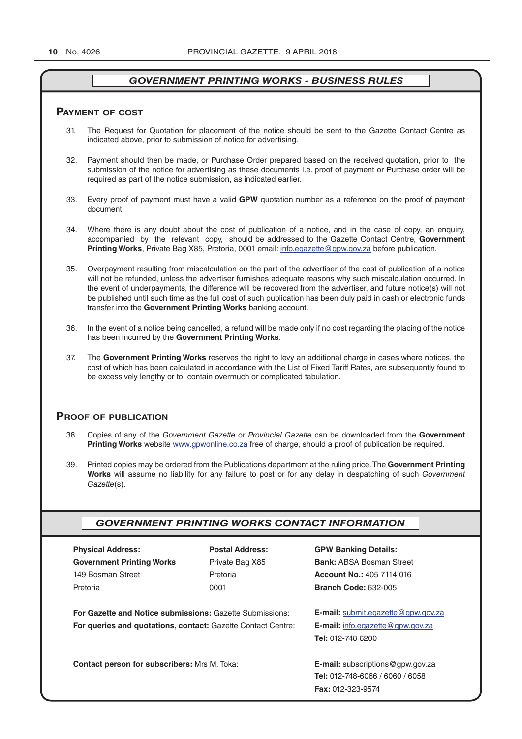### **pAymenT of CosT**

- 31. The Request for Quotation for placement of the notice should be sent to the Gazette Contact Centre as indicated above, prior to submission of notice for advertising.
- 32. Payment should then be made, or Purchase Order prepared based on the received quotation, prior to the submission of the notice for advertising as these documents i.e. proof of payment or Purchase order will be required as part of the notice submission, as indicated earlier.
- 33. Every proof of payment must have a valid **GPW** quotation number as a reference on the proof of payment document.
- 34. Where there is any doubt about the cost of publication of a notice, and in the case of copy, an enquiry, accompanied by the relevant copy, should be addressed to the Gazette Contact Centre, **Government Printing Works**, Private Bag X85, Pretoria, 0001 email: info.egazette@gpw.gov.za before publication.
- 35. Overpayment resulting from miscalculation on the part of the advertiser of the cost of publication of a notice will not be refunded, unless the advertiser furnishes adequate reasons why such miscalculation occurred. In the event of underpayments, the difference will be recovered from the advertiser, and future notice(s) will not be published until such time as the full cost of such publication has been duly paid in cash or electronic funds transfer into the **Government Printing Works** banking account.
- 36. In the event of a notice being cancelled, a refund will be made only if no cost regarding the placing of the notice has been incurred by the **Government Printing Works**.
- 37. The **Government Printing Works** reserves the right to levy an additional charge in cases where notices, the cost of which has been calculated in accordance with the List of Fixed Tariff Rates, are subsequently found to be excessively lengthy or to contain overmuch or complicated tabulation.

### **proof of publiCATion**

- 38. Copies of any of the *Government Gazette* or *Provincial Gazette* can be downloaded from the **Government Printing Works** website www.gpwonline.co.za free of charge, should a proof of publication be required.
- 39. Printed copies may be ordered from the Publications department at the ruling price. The **Government Printing Works** will assume no liability for any failure to post or for any delay in despatching of such *Government Gazette*(s).

### *GOVERNMENT PRINTING WORKS CONTACT INFORMATION*

| <b>Prival Address:</b>           |
|----------------------------------|
| <b>Government Printing Works</b> |
| 149 Bosman Street                |
| Pretoria                         |

**For Gazette and Notice submissions:** Gazette Submissions: **E-mail:** submit.egazette@gpw.gov.za **For queries and quotations, contact:** Gazette Contact Centre: **E-mail:** info.egazette@gpw.gov.za

**Contact person for subscribers:** Mrs M. Toka: **E-mail:** subscriptions@gpw.gov.za

**Physical Address: Postal Address: GPW Banking Details:**

Private Bag X85 **Bank:** ABSA Bosman Street 149 Bosman Street Pretoria **Account No.:** 405 7114 016 Pretoria 0001 **Branch Code:** 632-005

**Tel:** 012-748 6200

**Tel:** 012-748-6066 / 6060 / 6058 **Fax:** 012-323-9574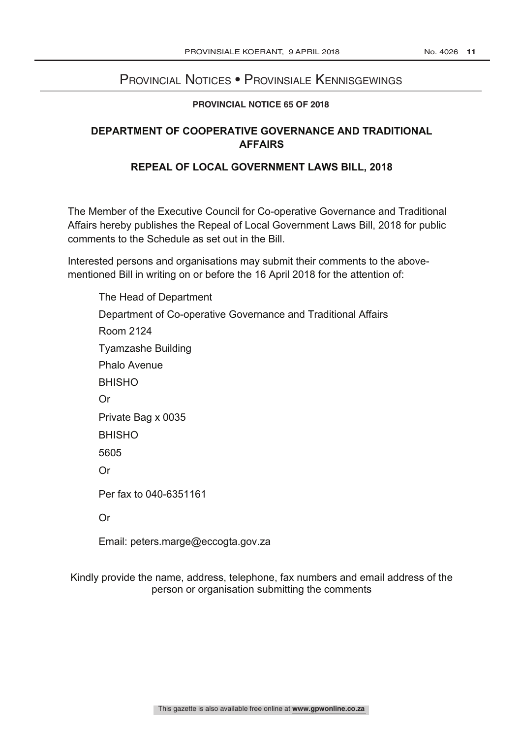# Provincial Notices • Provinsiale Kennisgewings

# **PROVINCIAL NOTICE 65 OF 2018**

# **DEPARTMENT OF COOPERATIVE GOVERNANCE AND TRADITIONAL AFFAIRS**

# **REPEAL OF LOCAL GOVERNMENT LAWS BILL, 2018**

The Member of the Executive Council for Co-operative Governance and Traditional Affairs hereby publishes the Repeal of Local Government Laws Bill, 2018 for public comments to the Schedule as set out in the Bill.

Interested persons and organisations may submit their comments to the abovementioned Bill in writing on or before the 16 April 2018 for the attention of:

The Head of Department Department of Co-operative Governance and Traditional Affairs Room 2124 Tyamzashe Building Phalo Avenue **BHISHO** Or Private Bag x 0035 BHISHO 5605 Or Per fax to 040-6351161 Or

Email: peters.marge@eccogta.gov.za

Kindly provide the name, address, telephone, fax numbers and email address of the person or organisation submitting the comments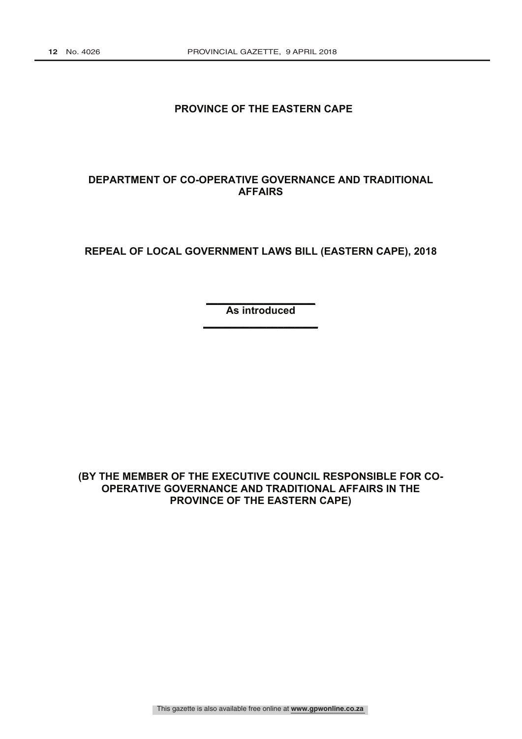# **PROVINCE OF THE EASTERN CAPE**

# **DEPARTMENT OF CO-OPERATIVE GOVERNANCE AND TRADITIONAL AFFAIRS**

# **REPEAL OF LOCAL GOVERNMENT LAWS BILL (EASTERN CAPE), 2018**

**\_\_\_\_\_\_\_\_\_\_\_\_\_\_\_\_\_\_\_ As introduced \_\_\_\_\_\_\_\_\_\_\_\_\_\_\_\_\_\_\_\_**

# **(BY THE MEMBER OF THE EXECUTIVE COUNCIL RESPONSIBLE FOR CO-OPERATIVE GOVERNANCE AND TRADITIONAL AFFAIRS IN THE PROVINCE OF THE EASTERN CAPE)**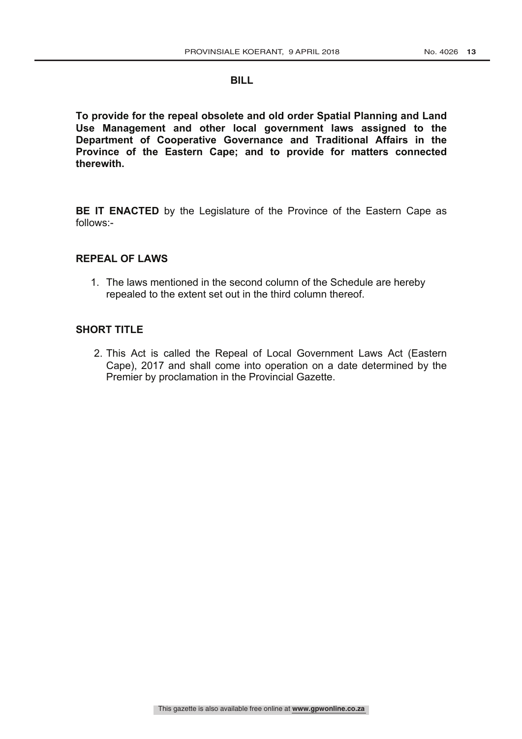# **BILL**

**To provide for the repeal obsolete and old order Spatial Planning and Land Use Management and other local government laws assigned to the Department of Cooperative Governance and Traditional Affairs in the Province of the Eastern Cape; and to provide for matters connected therewith.**

**BE IT ENACTED** by the Legislature of the Province of the Eastern Cape as follows:-

# **REPEAL OF LAWS**

1. The laws mentioned in the second column of the Schedule are hereby repealed to the extent set out in the third column thereof.

# **SHORT TITLE**

2. This Act is called the Repeal of Local Government Laws Act (Eastern Cape), 2017 and shall come into operation on a date determined by the Premier by proclamation in the Provincial Gazette.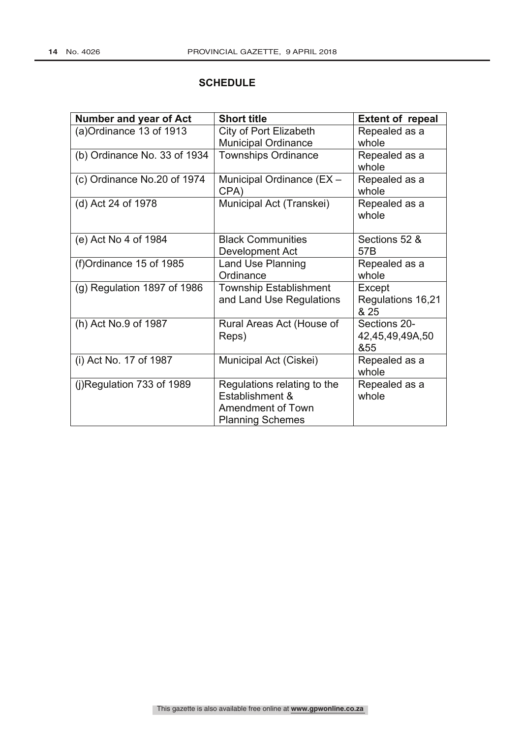# **SCHEDULE**

| <b>Number and year of Act</b> | <b>Short title</b>                                                                                    | <b>Extent of repeal</b>                |
|-------------------------------|-------------------------------------------------------------------------------------------------------|----------------------------------------|
| (a) Ordinance 13 of 1913      | <b>City of Port Elizabeth</b><br><b>Municipal Ordinance</b>                                           | Repealed as a<br>whole                 |
| (b) Ordinance No. 33 of 1934  | <b>Townships Ordinance</b>                                                                            | Repealed as a<br>whole                 |
| (c) Ordinance No.20 of 1974   | Municipal Ordinance (EX -<br>CPA)                                                                     | Repealed as a<br>whole                 |
| (d) Act 24 of 1978            | Municipal Act (Transkei)                                                                              | Repealed as a<br>whole                 |
| (e) Act No 4 of 1984          | <b>Black Communities</b><br>Development Act                                                           | Sections 52 &<br>57B                   |
| (f)Ordinance 15 of 1985       | <b>Land Use Planning</b><br>Ordinance                                                                 | Repealed as a<br>whole                 |
| $(g)$ Regulation 1897 of 1986 | <b>Township Establishment</b><br>and Land Use Regulations                                             | Except<br>Regulations 16,21<br>& 25    |
| (h) Act No.9 of 1987          | Rural Areas Act (House of<br>Reps)                                                                    | Sections 20-<br>42,45,49,49A,50<br>&55 |
| (i) Act No. 17 of 1987        | Municipal Act (Ciskei)                                                                                | Repealed as a<br>whole                 |
| (j)Regulation 733 of 1989     | Regulations relating to the<br>Establishment &<br><b>Amendment of Town</b><br><b>Planning Schemes</b> | Repealed as a<br>whole                 |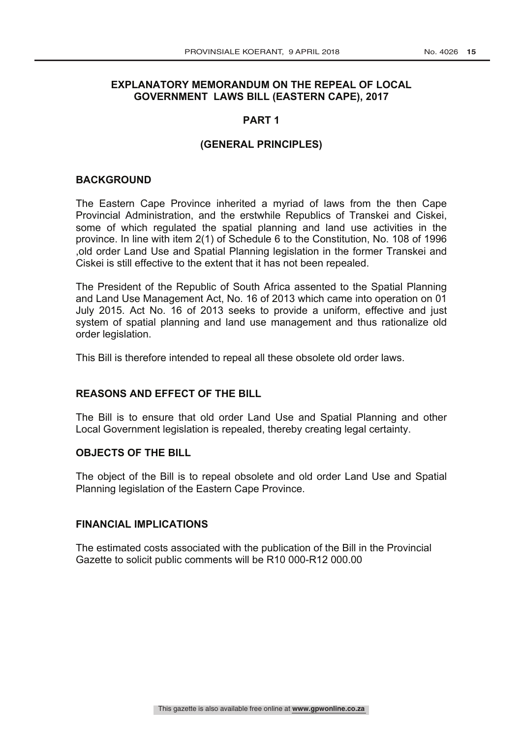# **EXPLANATORY MEMORANDUM ON THE REPEAL OF LOCAL GOVERNMENT LAWS BILL (EASTERN CAPE), 2017**

# **PART 1**

# **(GENERAL PRINCIPLES)**

# **BACKGROUND**

The Eastern Cape Province inherited a myriad of laws from the then Cape Provincial Administration, and the erstwhile Republics of Transkei and Ciskei, some of which regulated the spatial planning and land use activities in the province. In line with item 2(1) of Schedule 6 to the Constitution, No. 108 of 1996 ,old order Land Use and Spatial Planning legislation in the former Transkei and Ciskei is still effective to the extent that it has not been repealed.

The President of the Republic of South Africa assented to the Spatial Planning and Land Use Management Act, No. 16 of 2013 which came into operation on 01 July 2015. Act No. 16 of 2013 seeks to provide a uniform, effective and just system of spatial planning and land use management and thus rationalize old order legislation.

This Bill is therefore intended to repeal all these obsolete old order laws.

# **REASONS AND EFFECT OF THE BILL**

The Bill is to ensure that old order Land Use and Spatial Planning and other Local Government legislation is repealed, thereby creating legal certainty.

# **OBJECTS OF THE BILL**

The object of the Bill is to repeal obsolete and old order Land Use and Spatial Planning legislation of the Eastern Cape Province.

# **FINANCIAL IMPLICATIONS**

The estimated costs associated with the publication of the Bill in the Provincial Gazette to solicit public comments will be R10 000-R12 000.00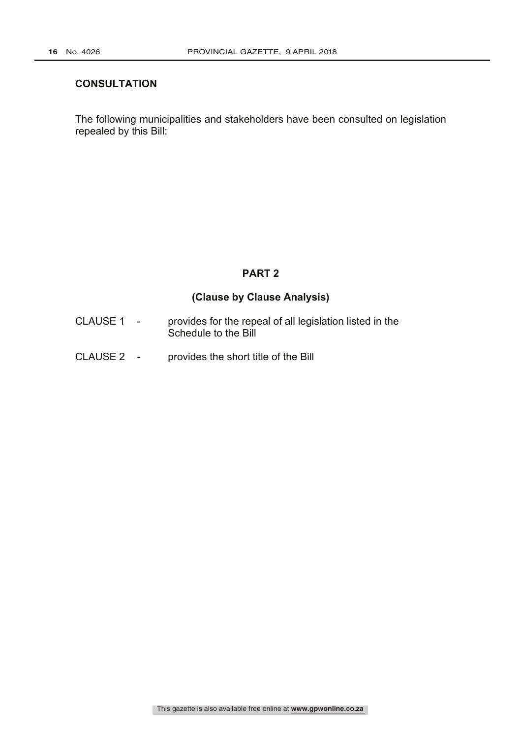# **CONSULTATION**

The following municipalities and stakeholders have been consulted on legislation repealed by this Bill:

# **PART 2**

# **(Clause by Clause Analysis)**

- CLAUSE 1 provides for the repeal of all legislation listed in the Schedule to the Bill
- CLAUSE 2 provides the short title of the Bill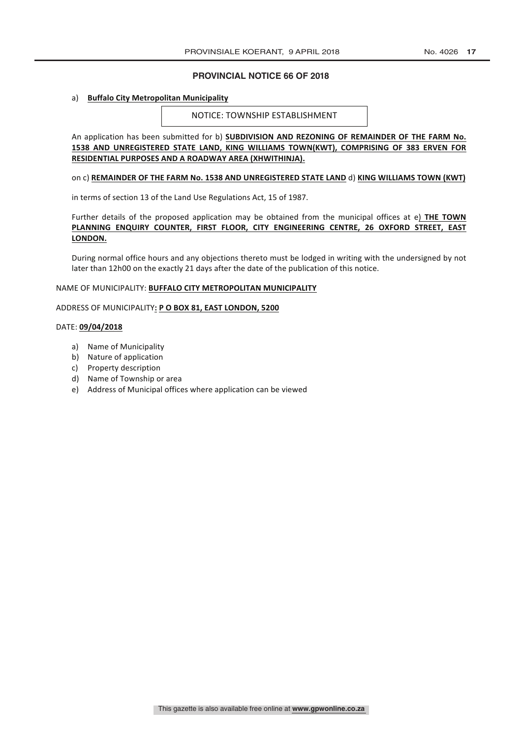### **PROVINCIAL NOTICE 66 OF 2018**

### a) **Buffalo City Metropolitan Municipality**

NOTICE: TOWNSHIP ESTABLISHMENT

An application has been submitted for b) **SUBDIVISION AND REZONING OF REMAINDER OF THE FARM No.** 1538 AND UNREGISTERED STATE LAND, KING WILLIAMS TOWN(KWT), COMPRISING OF 383 ERVEN FOR **RESIDENTIAL PURPOSES AND A ROADWAY AREA (XHWITHINJA).**

### on c) **REMAINDER OF THE FARM No. 1538 AND UNREGISTERED STATE LAND** d) **KING WILLIAMS TOWN (KWT)**

in terms of section 13 of the Land Use Regulations Act, 15 of 1987.

Further details of the proposed application may be obtained from the municipal offices at e) THE TOWN PLANNING ENQUIRY COUNTER, FIRST FLOOR, CITY ENGINEERING CENTRE, 26 OXFORD STREET, EAST **LONDON.**

During normal office hours and any objections thereto must be lodged in writing with the undersigned by not later than 12h00 on the exactly 21 days after the date of the publication of this notice.

### NAME OF MUNICIPALITY: **BUFFALO CITY METROPOLITAN MUNICIPALITY**

### ADDRESS OF MUNICIPALITY: P O BOX 81, EAST LONDON, 5200

### DATE: **09/04/2018**

- a) Name of Municipality
- b) Nature of application
- c) Property description
- d) Name of Township or area
- e) Address of Municipal offices where application can be viewed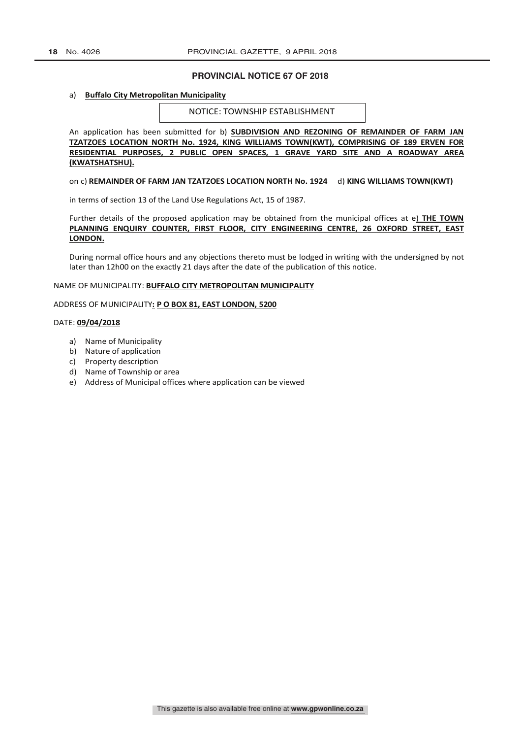### **PROVINCIAL NOTICE 67 OF 2018**

#### a) **Buffalo City Metropolitan Municipality**

NOTICE: TOWNSHIP ESTABLISHMENT

An application has been submitted for b) **SUBDIVISION AND REZONING OF REMAINDER OF FARM JAN TZATZOES LOCATION NORTH No. 1924, KING WILLIAMS TOWN(KWT), COMPRISING OF 189 ERVEN FOR RESIDENTIAL PURPOSES, 2 PUBLIC OPEN SPACES, 1 GRAVE YARD SITE AND A ROADWAY AREA (KWATSHATSHU).**

### on c) **REMAINDER OF FARM JAN TZATZOES LOCATION NORTH No. 1924** d) **KING WILLIAMS TOWN(KWT)**

in terms of section 13 of the Land Use Regulations Act, 15 of 1987.

Further details of the proposed application may be obtained from the municipal offices at e) **THE TOWN PLANNING ENQUIRY COUNTER, FIRST FLOOR, CITY ENGINEERING CENTRE, 26 OXFORD STREET, EAST LONDON.**

During normal office hours and any objections thereto must be lodged in writing with the undersigned by not later than 12h00 on the exactly 21 days after the date of the publication of this notice.

#### NAME OF MUNICIPALITY: **BUFFALO CITY METROPOLITAN MUNICIPALITY**

### ADDRESS OF MUNICIPALITY**: P O BOX 81, EAST LONDON, 5200**

### DATE: **09/04/2018**

- a) Name of Municipality
- b) Nature of application
- c) Property description
- d) Name of Township or area
- e) Address of Municipal offices where application can be viewed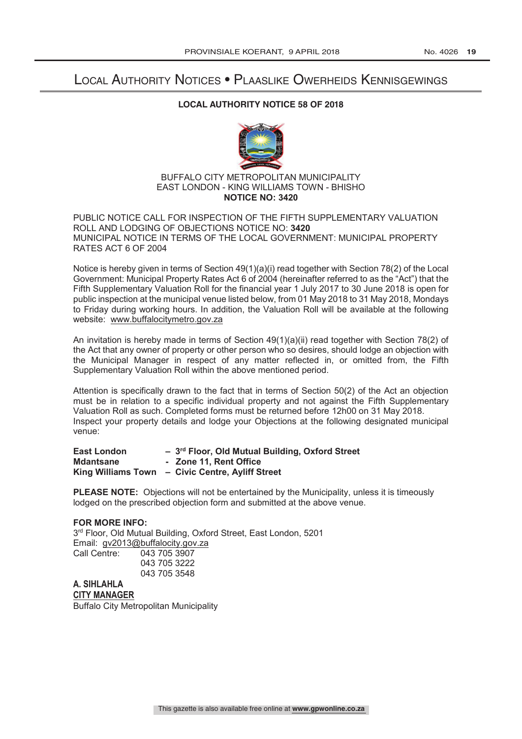# Local Authority Notices • Plaaslike Owerheids Kennisgewings

# **LOCAL AUTHORITY NOTICE 58 OF 2018**



### BUFFALO CITY METROPOLITAN MUNICIPALITY EAST LONDON - KING WILLIAMS TOWN - BHISHO **NOTICE NO: 3420**

PUBLIC NOTICE CALL FOR INSPECTION OF THE FIFTH SUPPLEMENTARY VALUATION ROLL AND LODGING OF OBJECTIONS NOTICE NO: **3420** MUNICIPAL NOTICE IN TERMS OF THE LOCAL GOVERNMENT: MUNICIPAL PROPERTY RATES ACT 6 OF 2004

Notice is hereby given in terms of Section 49(1)(a)(i) read together with Section 78(2) of the Local Government: Municipal Property Rates Act 6 of 2004 (hereinafter referred to as the "Act") that the Fifth Supplementary Valuation Roll for the financial year 1 July 2017 to 30 June 2018 is open for public inspection at the municipal venue listed below, from 01 May 2018 to 31 May 2018, Mondays to Friday during working hours. In addition, the Valuation Roll will be available at the following website: www.buffalocitymetro.gov.za

An invitation is hereby made in terms of Section 49(1)(a)(ii) read together with Section 78(2) of the Act that any owner of property or other person who so desires, should lodge an objection with the Municipal Manager in respect of any matter reflected in, or omitted from, the Fifth Supplementary Valuation Roll within the above mentioned period.

Attention is specifically drawn to the fact that in terms of Section 50(2) of the Act an objection must be in relation to a specific individual property and not against the Fifth Supplementary Valuation Roll as such. Completed forms must be returned before 12h00 on 31 May 2018. Inspect your property details and lodge your Objections at the following designated municipal venue:

| <b>East London</b> | - 3rd Floor, Old Mutual Building, Oxford Street  |
|--------------------|--------------------------------------------------|
| <b>Mdantsane</b>   | - Zone 11. Rent Office                           |
|                    | King Williams Town - Civic Centre, Ayliff Street |

**PLEASE NOTE:** Objections will not be entertained by the Municipality, unless it is timeously lodged on the prescribed objection form and submitted at the above venue.

# **FOR MORE INFO:**

3<sup>rd</sup> Floor, Old Mutual Building, Oxford Street, East London, 5201 Email: gv2013@buffalocity.gov.za Call Centre: 043 705 3907 043 705 3222 043 705 3548

**A. SIHLAHLA CITY MANAGER**

Buffalo City Metropolitan Municipality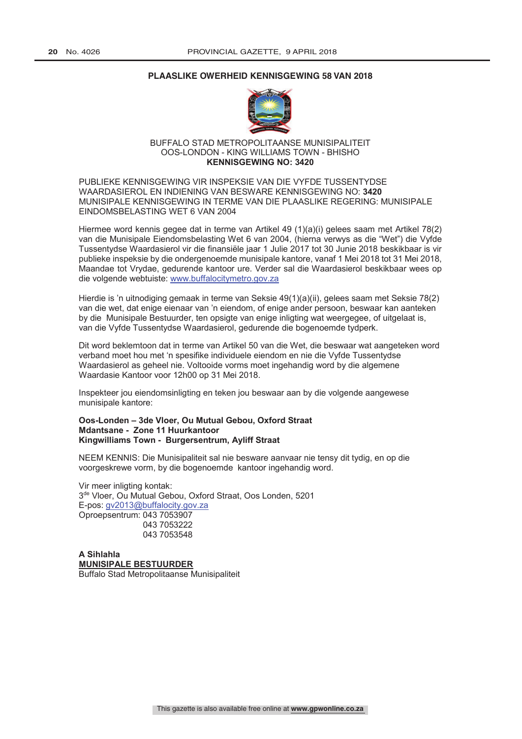### **PLAASLIKE OWERHEID KENNISGEWING 58 VAN 2018**



### BUFFALO STAD METROPOLITAANSE MUNISIPALITEIT OOS-LONDON - KING WILLIAMS TOWN - BHISHO **KENNISGEWING NO: 3420**

PUBLIEKE KENNISGEWING VIR INSPEKSIE VAN DIE VYFDE TUSSENTYDSE WAARDASIEROL EN INDIENING VAN BESWARE KENNISGEWING NO: **3420** MUNISIPALE KENNISGEWING IN TERME VAN DIE PLAASLIKE REGERING: MUNISIPALE EINDOMSBELASTING WET 6 VAN 2004

Hiermee word kennis gegee dat in terme van Artikel 49 (1)(a)(i) gelees saam met Artikel 78(2) van die Munisipale Eiendomsbelasting Wet 6 van 2004, (hierna verwys as die "Wet") die Vyfde Tussentydse Waardasierol vir die finansiële jaar 1 Julie 2017 tot 30 Junie 2018 beskikbaar is vir publieke inspeksie by die ondergenoemde munisipale kantore, vanaf 1 Mei 2018 tot 31 Mei 2018, Maandae tot Vrydae, gedurende kantoor ure. Verder sal die Waardasierol beskikbaar wees op die volgende webtuiste: www.buffalocitymetro.gov.za

Hierdie is 'n uitnodiging gemaak in terme van Seksie 49(1)(a)(ii), gelees saam met Seksie 78(2) van die wet, dat enige eienaar van 'n eiendom, of enige ander persoon, beswaar kan aanteken by die Munisipale Bestuurder, ten opsigte van enige inligting wat weergegee, of uitgelaat is, van die Vyfde Tussentydse Waardasierol, gedurende die bogenoemde tydperk.

Dit word beklemtoon dat in terme van Artikel 50 van die Wet, die beswaar wat aangeteken word verband moet hou met 'n spesifike individuele eiendom en nie die Vyfde Tussentydse Waardasierol as geheel nie. Voltooide vorms moet ingehandig word by die algemene Waardasie Kantoor voor 12h00 op 31 Mei 2018.

Inspekteer jou eiendomsinligting en teken jou beswaar aan by die volgende aangewese munisipale kantore:

### **Oos-Londen – 3de Vloer, Ou Mutual Gebou, Oxford Straat Mdantsane - Zone 11 Huurkantoor Kingwilliams Town - Burgersentrum, Ayliff Straat**

NEEM KENNIS: Die Munisipaliteit sal nie besware aanvaar nie tensy dit tydig, en op die voorgeskrewe vorm, by die bogenoemde kantoor ingehandig word.

Vir meer inligting kontak: 3de Vloer, Ou Mutual Gebou, Oxford Straat, Oos Londen, 5201 E-pos: gv2013@buffalocity.gov.za Oproepsentrum: 043 7053907 043 7053222 043 7053548

**A Sihlahla MUNISIPALE BESTUURDER** Buffalo Stad Metropolitaanse Munisipaliteit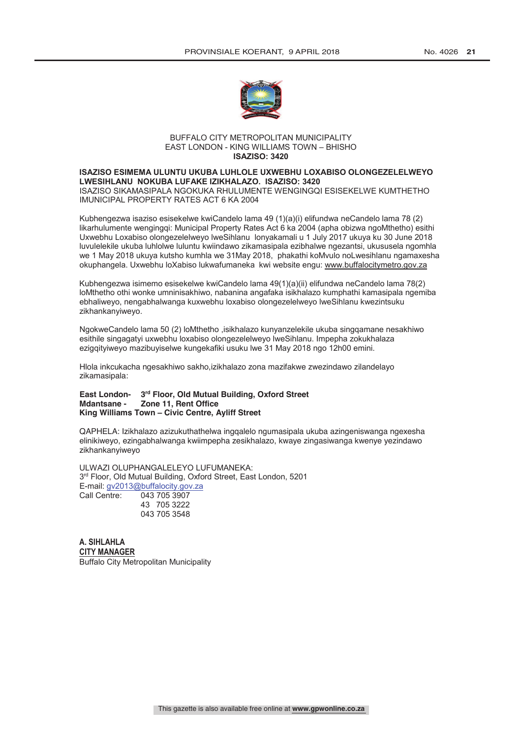

#### BUFFALO CITY METROPOLITAN MUNICIPALITY EAST LONDON - KING WILLIAMS TOWN – BHISHO **ISAZISO: 3420**

#### **ISAZISO ESIMEMA ULUNTU UKUBA LUHLOLE UXWEBHU LOXABISO OLONGEZELELWEYO LWESIHLANU NOKUBA LUFAKE IZIKHALAZO. ISAZISO: 3420** ISAZISO SIKAMASIPALA NGOKUKA RHULUMENTE WENGINGQI ESISEKELWE KUMTHETHO IMUNICIPAL PROPERTY RATES ACT 6 KA 2004

Kubhengezwa isaziso esisekelwe kwiCandelo lama 49 (1)(a)(i) elifundwa neCandelo lama 78 (2) likarhulumente wengingqi: Municipal Property Rates Act 6 ka 2004 (apha obizwa ngoMthetho) esithi Uxwebhu Loxabiso olongezelelweyo lweSihlanu lonyakamali u 1 July 2017 ukuya ku 30 June 2018 luvulelekile ukuba luhlolwe luluntu kwiindawo zikamasipala ezibhalwe ngezantsi, ukususela ngomhla we 1 May 2018 ukuya kutsho kumhla we 31May 2018, phakathi koMvulo noLwesihlanu ngamaxesha okuphangela. Uxwebhu loXabiso lukwafumaneka kwi website engu: www.buffalocitymetro.gov.za

Kubhengezwa isimemo esisekelwe kwiCandelo lama 49(1)(a)(ii) elifundwa neCandelo lama 78(2) loMthetho othi wonke umninisakhiwo, nabanina angafaka isikhalazo kumphathi kamasipala ngemiba ebhaliweyo, nengabhalwanga kuxwebhu loxabiso olongezelelweyo lweSihlanu kwezintsuku zikhankanyiweyo.

NgokweCandelo lama 50 (2) loMthetho ,isikhalazo kunyanzelekile ukuba singqamane nesakhiwo esithile singagatyi uxwebhu loxabiso olongezelelweyo lweSihlanu. Impepha zokukhalaza ezigqityiweyo mazibuyiselwe kungekafiki usuku lwe 31 May 2018 ngo 12h00 emini.

Hlola inkcukacha ngesakhiwo sakho,izikhalazo zona mazifakwe zwezindawo zilandelayo zikamasipala:

#### **East London- 3rd Floor, Old Mutual Building, Oxford Street Mdantsane - Zone 11, Rent Office King Williams Town – Civic Centre, Ayliff Street**

QAPHELA: Izikhalazo azizukuthathelwa ingqalelo ngumasipala ukuba azingeniswanga ngexesha elinikiweyo, ezingabhalwanga kwiimpepha zesikhalazo, kwaye zingasiwanga kwenye yezindawo zikhankanyiweyo

ULWAZI OLUPHANGALELEYO LUFUMANEKA: 3<sup>rd</sup> Floor, Old Mutual Building, Oxford Street, East London, 5201 E-mail: gv2013@buffalocity.gov.za<br>Call Centre: 043 705 3907 043 705 3907 43 705 3222 043 705 3548

**A. SIHLAHLA CITY MANAGER** Buffalo City Metropolitan Municipality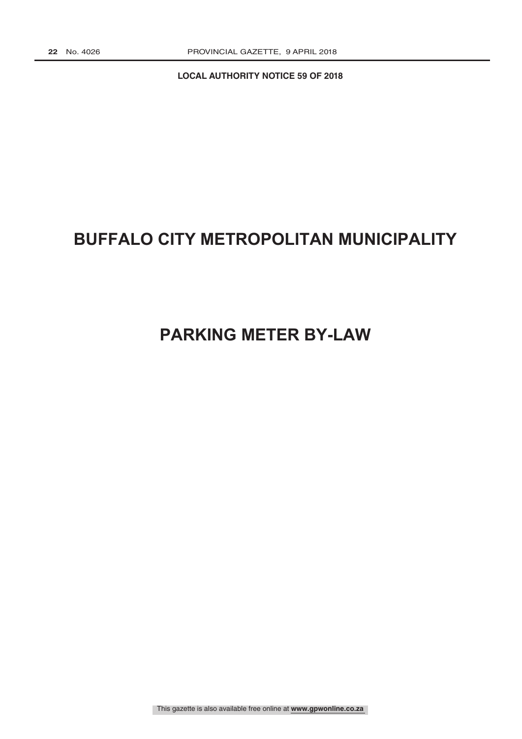**LOCAL AUTHORITY NOTICE 59 OF 2018** 

# **BUFFALO CITY METROPOLITAN MUNICIPALITY**

# **PARKING METER BY-LAW**

This gazette is also available free online at **www.gpwonline.co.za**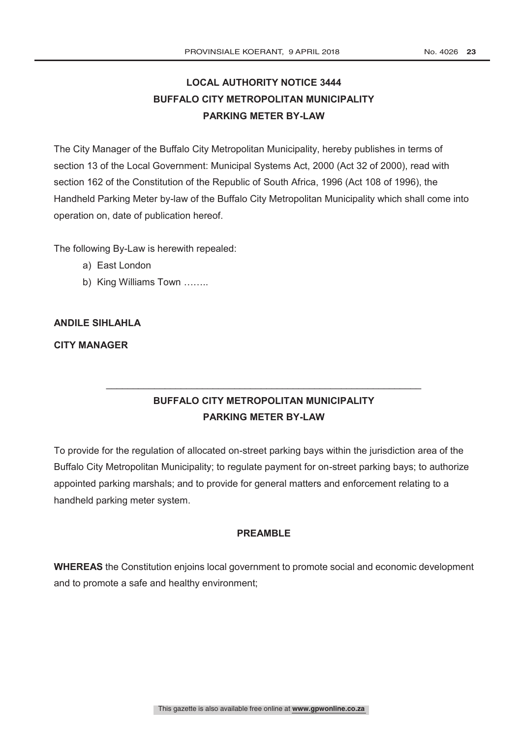# **LOCAL AUTHORITY NOTICE 3444 BUFFALO CITY METROPOLITAN MUNICIPALITY PARKING METER BY-LAW**

The City Manager of the Buffalo City Metropolitan Municipality, hereby publishes in terms of section 13 of the Local Government: Municipal Systems Act, 2000 (Act 32 of 2000), read with section 162 of the Constitution of the Republic of South Africa, 1996 (Act 108 of 1996), the Handheld Parking Meter by-law of the Buffalo City Metropolitan Municipality which shall come into operation on, date of publication hereof.

The following By-Law is herewith repealed:

- a) East London
- b) King Williams Town ……..

# **ANDILE SIHLAHLA**

# **CITY MANAGER**

# **BUFFALO CITY METROPOLITAN MUNICIPALITY PARKING METER BY-LAW**

\_\_\_\_\_\_\_\_\_\_\_\_\_\_\_\_\_\_\_\_\_\_\_\_\_\_\_\_\_\_\_\_\_\_\_\_\_\_\_\_\_\_\_\_\_\_\_\_\_\_\_\_\_\_\_\_\_\_\_

To provide for the regulation of allocated on-street parking bays within the jurisdiction area of the Buffalo City Metropolitan Municipality; to regulate payment for on-street parking bays; to authorize appointed parking marshals; and to provide for general matters and enforcement relating to a handheld parking meter system.

# **PREAMBLE**

**WHEREAS** the Constitution enjoins local government to promote social and economic development and to promote a safe and healthy environment;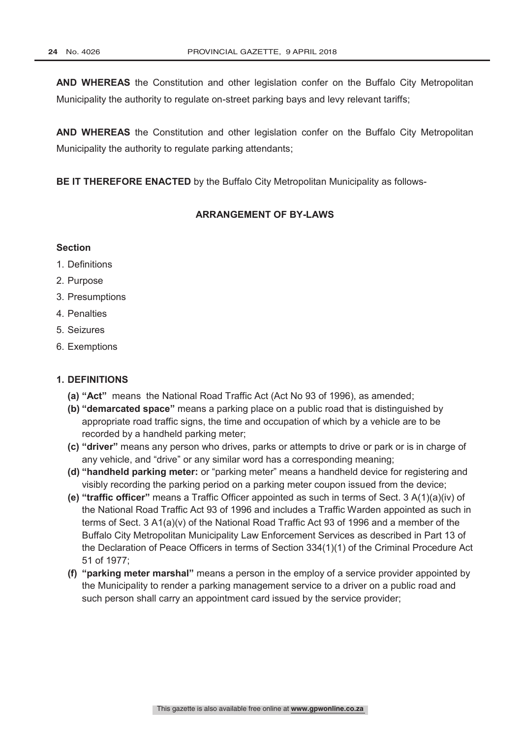**AND WHEREAS** the Constitution and other legislation confer on the Buffalo City Metropolitan Municipality the authority to regulate on-street parking bays and levy relevant tariffs;

**AND WHEREAS** the Constitution and other legislation confer on the Buffalo City Metropolitan Municipality the authority to regulate parking attendants;

**BE IT THEREFORE ENACTED** by the Buffalo City Metropolitan Municipality as follows-

# **ARRANGEMENT OF BY-LAWS**

### **Section**

- 1. Definitions
- 2. Purpose
- 3. Presumptions
- 4. Penalties
- 5. Seizures
- 6. Exemptions

# **1. DEFINITIONS**

- **(a) "Act"** means the National Road Traffic Act (Act No 93 of 1996), as amended;
- **(b) "demarcated space"** means a parking place on a public road that is distinguished by appropriate road traffic signs, the time and occupation of which by a vehicle are to be recorded by a handheld parking meter;
- **(c) "driver"** means any person who drives, parks or attempts to drive or park or is in charge of any vehicle, and "drive" or any similar word has a corresponding meaning;
- **(d) "handheld parking meter:** or "parking meter" means a handheld device for registering and visibly recording the parking period on a parking meter coupon issued from the device;
- **(e) "traffic officer"** means a Traffic Officer appointed as such in terms of Sect. 3 A(1)(a)(iv) of the National Road Traffic Act 93 of 1996 and includes a Traffic Warden appointed as such in terms of Sect. 3 A1(a)(v) of the National Road Traffic Act 93 of 1996 and a member of the Buffalo City Metropolitan Municipality Law Enforcement Services as described in Part 13 of the Declaration of Peace Officers in terms of Section 334(1)(1) of the Criminal Procedure Act 51 of 1977;
- **(f) "parking meter marshal"** means a person in the employ of a service provider appointed by the Municipality to render a parking management service to a driver on a public road and such person shall carry an appointment card issued by the service provider;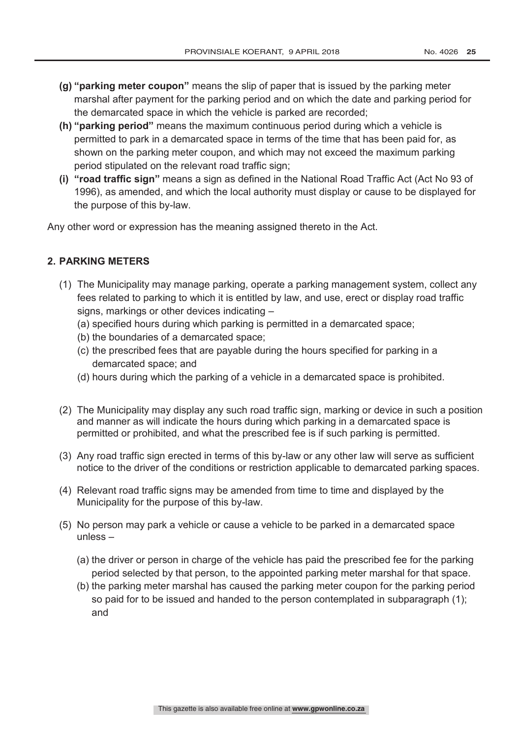- **(g) "parking meter coupon"** means the slip of paper that is issued by the parking meter marshal after payment for the parking period and on which the date and parking period for the demarcated space in which the vehicle is parked are recorded;
- **(h) "parking period"** means the maximum continuous period during which a vehicle is permitted to park in a demarcated space in terms of the time that has been paid for, as shown on the parking meter coupon, and which may not exceed the maximum parking period stipulated on the relevant road traffic sign;
- **(i) "road traffic sign"** means a sign as defined in the National Road Traffic Act (Act No 93 of 1996), as amended, and which the local authority must display or cause to be displayed for the purpose of this by-law.

Any other word or expression has the meaning assigned thereto in the Act.

# **2. PARKING METERS**

- (1) The Municipality may manage parking, operate a parking management system, collect any fees related to parking to which it is entitled by law, and use, erect or display road traffic signs, markings or other devices indicating –
	- (a) specified hours during which parking is permitted in a demarcated space;
	- (b) the boundaries of a demarcated space;
	- (c) the prescribed fees that are payable during the hours specified for parking in a demarcated space; and
	- (d) hours during which the parking of a vehicle in a demarcated space is prohibited.
- (2) The Municipality may display any such road traffic sign, marking or device in such a position and manner as will indicate the hours during which parking in a demarcated space is permitted or prohibited, and what the prescribed fee is if such parking is permitted.
- (3) Any road traffic sign erected in terms of this by-law or any other law will serve as sufficient notice to the driver of the conditions or restriction applicable to demarcated parking spaces.
- (4) Relevant road traffic signs may be amended from time to time and displayed by the Municipality for the purpose of this by-law.
- (5) No person may park a vehicle or cause a vehicle to be parked in a demarcated space unless –
	- (a) the driver or person in charge of the vehicle has paid the prescribed fee for the parking period selected by that person, to the appointed parking meter marshal for that space.
	- (b) the parking meter marshal has caused the parking meter coupon for the parking period so paid for to be issued and handed to the person contemplated in subparagraph (1); and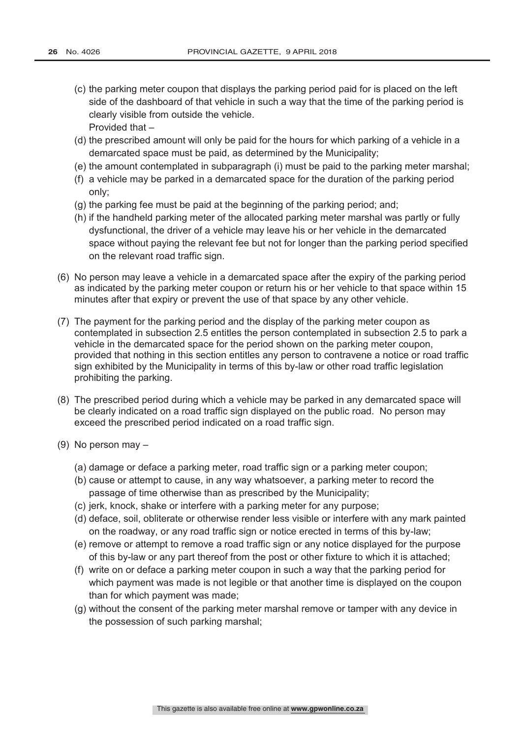- (c) the parking meter coupon that displays the parking period paid for is placed on the left side of the dashboard of that vehicle in such a way that the time of the parking period is clearly visible from outside the vehicle. Provided that –
- (d) the prescribed amount will only be paid for the hours for which parking of a vehicle in a demarcated space must be paid, as determined by the Municipality;
- (e) the amount contemplated in subparagraph (i) must be paid to the parking meter marshal;
- (f) a vehicle may be parked in a demarcated space for the duration of the parking period only;
- (g) the parking fee must be paid at the beginning of the parking period; and;
- (h) if the handheld parking meter of the allocated parking meter marshal was partly or fully dysfunctional, the driver of a vehicle may leave his or her vehicle in the demarcated space without paying the relevant fee but not for longer than the parking period specified on the relevant road traffic sign.
- (6) No person may leave a vehicle in a demarcated space after the expiry of the parking period as indicated by the parking meter coupon or return his or her vehicle to that space within 15 minutes after that expiry or prevent the use of that space by any other vehicle.
- (7) The payment for the parking period and the display of the parking meter coupon as contemplated in subsection 2.5 entitles the person contemplated in subsection 2.5 to park a vehicle in the demarcated space for the period shown on the parking meter coupon, provided that nothing in this section entitles any person to contravene a notice or road traffic sign exhibited by the Municipality in terms of this by-law or other road traffic legislation prohibiting the parking.
- (8) The prescribed period during which a vehicle may be parked in any demarcated space will be clearly indicated on a road traffic sign displayed on the public road. No person may exceed the prescribed period indicated on a road traffic sign.
- (9) No person may
	- (a) damage or deface a parking meter, road traffic sign or a parking meter coupon;
	- (b) cause or attempt to cause, in any way whatsoever, a parking meter to record the passage of time otherwise than as prescribed by the Municipality;
	- (c) jerk, knock, shake or interfere with a parking meter for any purpose;
	- (d) deface, soil, obliterate or otherwise render less visible or interfere with any mark painted on the roadway, or any road traffic sign or notice erected in terms of this by-law;
	- (e) remove or attempt to remove a road traffic sign or any notice displayed for the purpose of this by-law or any part thereof from the post or other fixture to which it is attached;
	- (f) write on or deface a parking meter coupon in such a way that the parking period for which payment was made is not legible or that another time is displayed on the coupon than for which payment was made;
	- (g) without the consent of the parking meter marshal remove or tamper with any device in the possession of such parking marshal;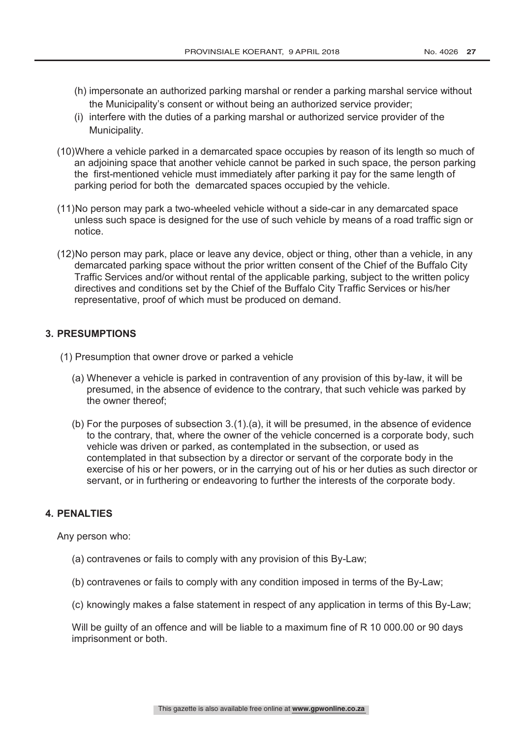- (h) impersonate an authorized parking marshal or render a parking marshal service without the Municipality's consent or without being an authorized service provider;
- (i) interfere with the duties of a parking marshal or authorized service provider of the Municipality.
- (10)Where a vehicle parked in a demarcated space occupies by reason of its length so much of an adjoining space that another vehicle cannot be parked in such space, the person parking the first-mentioned vehicle must immediately after parking it pay for the same length of parking period for both the demarcated spaces occupied by the vehicle.
- (11)No person may park a two-wheeled vehicle without a side-car in any demarcated space unless such space is designed for the use of such vehicle by means of a road traffic sign or notice.
- (12)No person may park, place or leave any device, object or thing, other than a vehicle, in any demarcated parking space without the prior written consent of the Chief of the Buffalo City Traffic Services and/or without rental of the applicable parking, subject to the written policy directives and conditions set by the Chief of the Buffalo City Traffic Services or his/her representative, proof of which must be produced on demand.

# **3. PRESUMPTIONS**

- (1) Presumption that owner drove or parked a vehicle
	- (a) Whenever a vehicle is parked in contravention of any provision of this by-law, it will be presumed, in the absence of evidence to the contrary, that such vehicle was parked by the owner thereof;
	- (b) For the purposes of subsection 3.(1).(a), it will be presumed, in the absence of evidence to the contrary, that, where the owner of the vehicle concerned is a corporate body, such vehicle was driven or parked, as contemplated in the subsection, or used as contemplated in that subsection by a director or servant of the corporate body in the exercise of his or her powers, or in the carrying out of his or her duties as such director or servant, or in furthering or endeavoring to further the interests of the corporate body.

# **4. PENALTIES**

Any person who:

- (a) contravenes or fails to comply with any provision of this By-Law;
- (b) contravenes or fails to comply with any condition imposed in terms of the By-Law;
- (c) knowingly makes a false statement in respect of any application in terms of this By-Law;

Will be guilty of an offence and will be liable to a maximum fine of R 10 000.00 or 90 days imprisonment or both.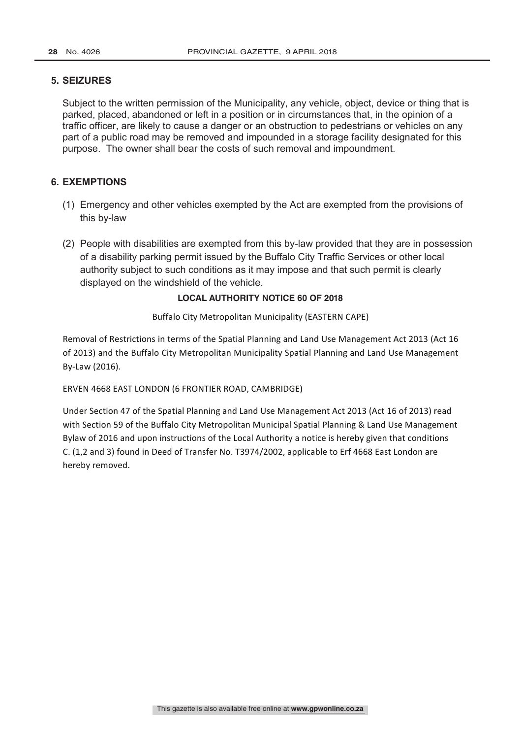# **5. SEIZURES**

Subject to the written permission of the Municipality, any vehicle, object, device or thing that is parked, placed, abandoned or left in a position or in circumstances that, in the opinion of a traffic officer, are likely to cause a danger or an obstruction to pedestrians or vehicles on any part of a public road may be removed and impounded in a storage facility designated for this purpose. The owner shall bear the costs of such removal and impoundment.

# **6. EXEMPTIONS**

- (1) Emergency and other vehicles exempted by the Act are exempted from the provisions of this by-law
- (2) People with disabilities are exempted from this by-law provided that they are in possession of a disability parking permit issued by the Buffalo City Traffic Services or other local authority subject to such conditions as it may impose and that such permit is clearly displayed on the windshield of the vehicle.

### **LOCAL AUTHORITY NOTICE 60 OF 2018**

**Buffalo City Metropolitan Municipality (EASTERN CAPE)** 

Removal of Restrictions in terms of the Spatial Planning and Land Use Management Act 2013 (Act 16 of 2013) and the Buffalo City Metropolitan Municipality Spatial Planning and Land Use Management By-Law (2016).

ERVEN 4668 EAST LONDON (6 FRONTIER ROAD, CAMBRIDGE)

Under Section 47 of the Spatial Planning and Land Use Management Act 2013 (Act 16 of 2013) read with Section 59 of the Buffalo City Metropolitan Municipal Spatial Planning & Land Use Management Bylaw of 2016 and upon instructions of the Local Authority a notice is hereby given that conditions C. (1,2 and 3) found in Deed of Transfer No. T3974/2002, applicable to Erf 4668 East London are hereby removed.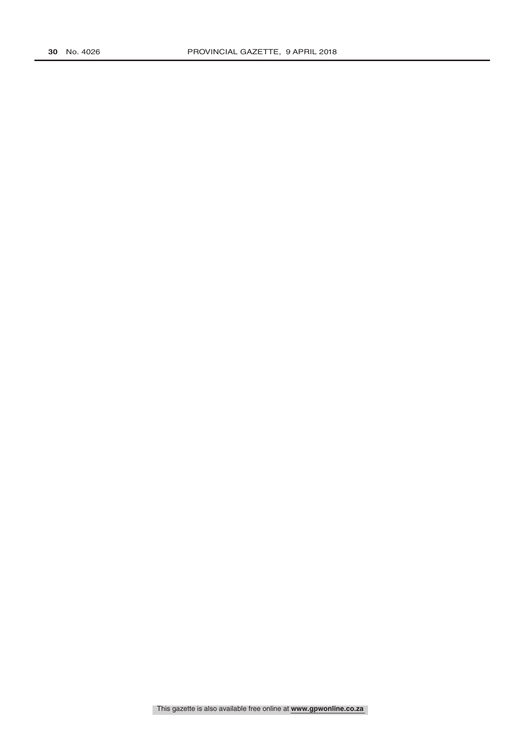This gazette is also available free online at **www.gpwonline.co.za**